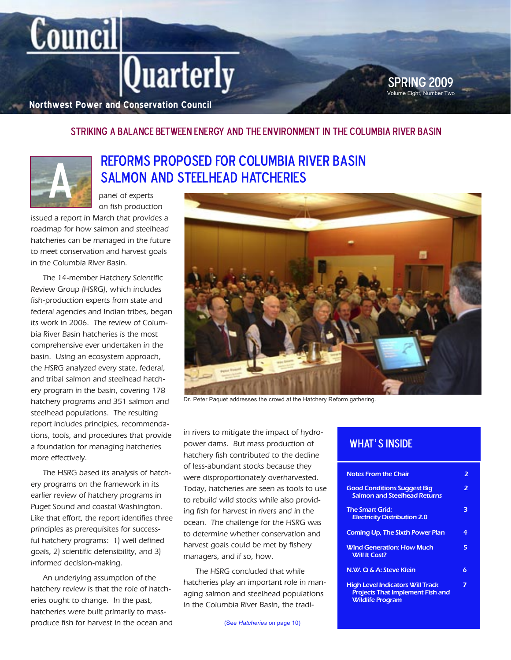# $|$ Quarterly

**Northwest Power and Conservation Council**

### Striking a Balance Between Energy and the Environment in the Columbia River Basin



**Council** 

### Reforms proposed for Columbia River Basin SALMON AND STEELHEAD HATCHERIES

panel of experts on fish production

issued a report in March that provides a roadmap for how salmon and steelhead hatcheries can be managed in the future to meet conservation and harvest goals in the Columbia River Basin.

The 14-member Hatchery Scientific Review Group (HSRG), which includes fish-production experts from state and federal agencies and Indian tribes, began its work in 2006. The review of Columbia River Basin hatcheries is the most comprehensive ever undertaken in the basin. Using an ecosystem approach, the HSRG analyzed every state, federal, and tribal salmon and steelhead hatchery program in the basin, covering 178 hatchery programs and 351 salmon and steelhead populations. The resulting report includes principles, recommendations, tools, and procedures that provide a foundation for managing hatcheries more effectively.

The HSRG based its analysis of hatchery programs on the framework in its earlier review of hatchery programs in Puget Sound and coastal Washington. Like that effort, the report identifies three principles as prerequisites for successful hatchery programs: 1) well defined goals, 2) scientific defensibility, and 3) informed decision-making.

An underlying assumption of the hatchery review is that the role of hatcheries ought to change. In the past, hatcheries were built primarily to massproduce fish for harvest in the ocean and



Dr. Peter Paquet addresses the crowd at the Hatchery Reform gathering.

in rivers to mitigate the impact of hydropower dams. But mass production of hatchery fish contributed to the decline of less-abundant stocks because they were disproportionately overharvested. Today, hatcheries are seen as tools to use to rebuild wild stocks while also providing fish for harvest in rivers and in the ocean. The challenge for the HSRG was to determine whether conservation and harvest goals could be met by fishery managers, and if so, how.

The HSRG concluded that while hatcheries play an important role in managing salmon and steelhead populations in the Columbia River Basin, the tradi-

(See *Hatcheries* on page 10)

### WHAT'S INSIDE

| <b>Notes From the Chair</b>                                                                                   | $\overline{\mathbf{z}}$  |
|---------------------------------------------------------------------------------------------------------------|--------------------------|
| <b>Good Conditions Suggest Big</b><br><b>Salmon and Steelhead Returns</b>                                     | $\overline{\phantom{a}}$ |
| <b>The Smart Grid:</b><br><b>Electricity Distribution 2.0</b>                                                 | З                        |
| <b>Coming Up, The Sixth Power Plan</b>                                                                        | 4                        |
| <b>Wind Generation: How Much</b><br><b>Will It Cost?</b>                                                      | 5                        |
| N.W. Q & A: Steve Klein                                                                                       | 6                        |
| <b>High Level Indicators Will Track</b><br><b>Projects That Implement Fish and</b><br><b>Wildlife Program</b> |                          |

Volume Eight, Number Two **SPRING 2009**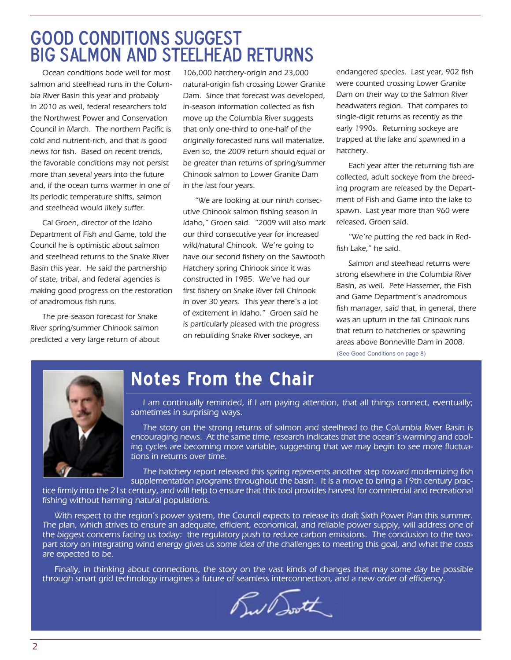# good conditions suggest big salmon and steelhead returns

Ocean conditions bode well for most salmon and steelhead runs in the Columbia River Basin this year and probably in 2010 as well, federal researchers told the Northwest Power and Conservation Council in March. The northern Pacific is cold and nutrient-rich, and that is good news for fish. Based on recent trends, the favorable conditions may not persist more than several years into the future and, if the ocean turns warmer in one of its periodic temperature shifts, salmon and steelhead would likely suffer.

Cal Groen, director of the Idaho Department of Fish and Game, told the Council he is optimistic about salmon and steelhead returns to the Snake River Basin this year. He said the partnership of state, tribal, and federal agencies is making good progress on the restoration of anadromous fish runs.

The pre-season forecast for Snake River spring/summer Chinook salmon predicted a very large return of about

106,000 hatchery-origin and 23,000 natural-origin fish crossing Lower Granite Dam. Since that forecast was developed, in-season information collected as fish move up the Columbia River suggests that only one-third to one-half of the originally forecasted runs will materialize. Even so, the 2009 return should equal or be greater than returns of spring/summer Chinook salmon to Lower Granite Dam in the last four years.

"We are looking at our ninth consecutive Chinook salmon fishing season in Idaho," Groen said. "2009 will also mark our third consecutive year for increased wild/natural Chinook. We're going to have our second fishery on the Sawtooth Hatchery spring Chinook since it was constructed in 1985. We've had our first fishery on Snake River fall Chinook in over 30 years. This year there's a lot of excitement in Idaho." Groen said he is particularly pleased with the progress on rebuilding Snake River sockeye, an

endangered species. Last year, 902 fish were counted crossing Lower Granite Dam on their way to the Salmon River headwaters region. That compares to single-digit returns as recently as the early 1990s. Returning sockeye are trapped at the lake and spawned in a hatchery.

Each year after the returning fish are collected, adult sockeye from the breeding program are released by the Department of Fish and Game into the lake to spawn. Last year more than 960 were released, Groen said.

"We're putting the red back in Redfish Lake," he said.

(See Good Conditions on page 8) Salmon and steelhead returns were strong elsewhere in the Columbia River Basin, as well. Pete Hassemer, the Fish and Game Department's anadromous fish manager, said that, in general, there was an upturn in the fall Chinook runs that return to hatcheries or spawning areas above Bonneville Dam in 2008.



# **Notes From the Chair**

I am continually reminded, if I am paying attention, that all things connect, eventually; sometimes in surprising ways.

The story on the strong returns of salmon and steelhead to the Columbia River Basin is encouraging news. At the same time, research indicates that the ocean's warming and cooling cycles are becoming more variable, suggesting that we may begin to see more fluctuations in returns over time.

The hatchery report released this spring represents another step toward modernizing fish supplementation programs throughout the basin. It is a move to bring a 19th century prac-

tice firmly into the 21st century, and will help to ensure that this tool provides harvest for commercial and recreational fishing without harming natural populations.

With respect to the region's power system, the Council expects to release its draft Sixth Power Plan this summer. The plan, which strives to ensure an adequate, efficient, economical, and reliable power supply, will address one of the biggest concerns facing us today: the regulatory push to reduce carbon emissions. The conclusion to the twopart story on integrating wind energy gives us some idea of the challenges to meeting this goal, and what the costs are expected to be.

Finally, in thinking about connections, the story on the vast kinds of changes that may some day be possible through smart grid technology imagines a future of seamless interconnection, and a new order of efficiency.

wast.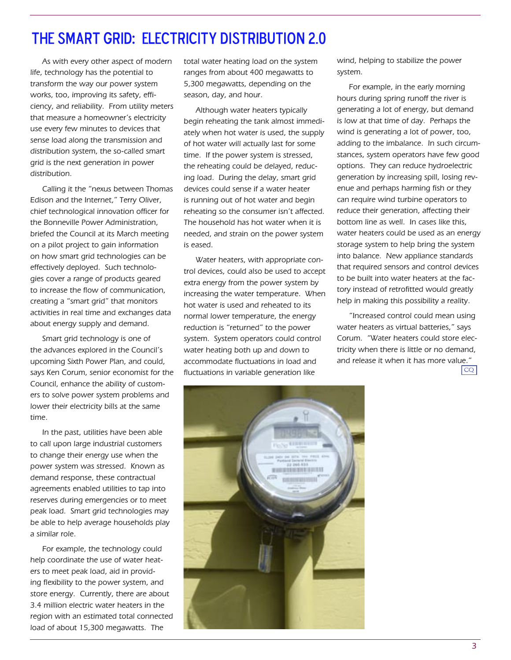### The Smart Grid: Electricity Distribution 2.0

As with every other aspect of modern life, technology has the potential to transform the way our power system works, too, improving its safety, efficiency, and reliability. From utility meters that measure a homeowner's electricity use every few minutes to devices that sense load along the transmission and distribution system, the so-called smart grid is the next generation in power distribution.

Calling it the "nexus between Thomas Edison and the Internet," Terry Oliver, chief technological innovation officer for the Bonneville Power Administration, briefed the Council at its March meeting on a pilot project to gain information on how smart grid technologies can be effectively deployed. Such technologies cover a range of products geared to increase the flow of communication, creating a "smart grid" that monitors activities in real time and exchanges data about energy supply and demand.

Smart grid technology is one of the advances explored in the Council's upcoming Sixth Power Plan, and could, says Ken Corum, senior economist for the Council, enhance the ability of customers to solve power system problems and lower their electricity bills at the same time.

In the past, utilities have been able to call upon large industrial customers to change their energy use when the power system was stressed. Known as demand response, these contractual agreements enabled utilities to tap into reserves during emergencies or to meet peak load. Smart grid technologies may be able to help average households play a similar role.

For example, the technology could help coordinate the use of water heaters to meet peak load, aid in providing flexibility to the power system, and store energy. Currently, there are about 3.4 million electric water heaters in the region with an estimated total connected load of about 15,300 megawatts. The

total water heating load on the system ranges from about 400 megawatts to 5,300 megawatts, depending on the season, day, and hour.

Although water heaters typically begin reheating the tank almost immediately when hot water is used, the supply of hot water will actually last for some time. If the power system is stressed, the reheating could be delayed, reducing load. During the delay, smart grid devices could sense if a water heater is running out of hot water and begin reheating so the consumer isn't affected. The household has hot water when it is needed, and strain on the power system is eased.

Water heaters, with appropriate control devices, could also be used to accept extra energy from the power system by increasing the water temperature. When hot water is used and reheated to its normal lower temperature, the energy reduction is "returned" to the power system. System operators could control water heating both up and down to accommodate fluctuations in load and fluctuations in variable generation like

wind, helping to stabilize the power system.

For example, in the early morning hours during spring runoff the river is generating a lot of energy, but demand is low at that time of day. Perhaps the wind is generating a lot of power, too, adding to the imbalance. In such circumstances, system operators have few good options. They can reduce hydroelectric generation by increasing spill, losing revenue and perhaps harming fish or they can require wind turbine operators to reduce their generation, affecting their bottom line as well. In cases like this, water heaters could be used as an energy storage system to help bring the system into balance. New appliance standards that required sensors and control devices to be built into water heaters at the factory instead of retrofitted would greatly help in making this possibility a reality.

"Increased control could mean using water heaters as virtual batteries," says Corum. "Water heaters could store electricity when there is little or no demand, and release it when it has more value."

CQ

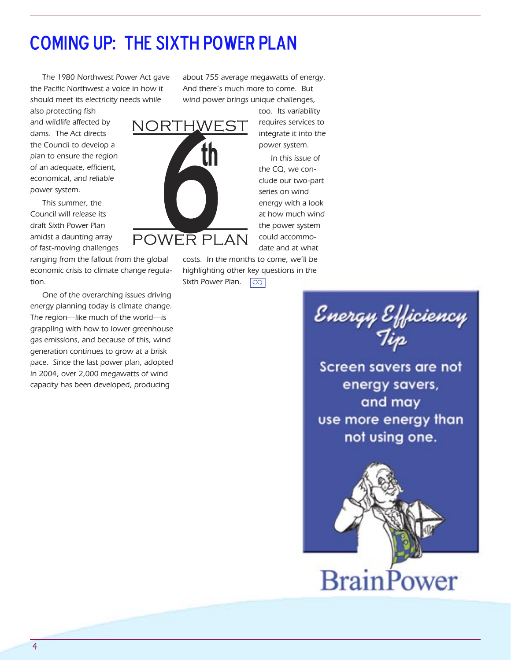# Coming Up: The Sixth Power Plan

The 1980 Northwest Power Act gave the Pacific Northwest a voice in how it should meet its electricity needs while

also protecting fish and wildlife affected by dams. The Act directs the Council to develop a plan to ensure the region of an adequate, efficient, economical, and reliable power system.

This summer, the Council will release its draft Sixth Power Plan amidst a daunting array of fast-moving challenges

ranging from the fallout from the global economic crisis to climate change regulation.

One of the overarching issues driving energy planning today is climate change. The region—like much of the world—is grappling with how to lower greenhouse gas emissions, and because of this, wind generation continues to grow at a brisk pace. Since the last power plan, adopted in 2004, over 2,000 megawatts of wind capacity has been developed, producing

about 755 average megawatts of energy. And there's much more to come. But wind power brings unique challenges,

NORTHWEST **th** POWER PLAN

too. Its variability requires services to integrate it into the power system.

In this issue of the CQ, we conclude our two-part series on wind energy with a look at how much wind the power system could accommodate and at what

costs. In the months to come, we'll be highlighting other key questions in the

Sixth Power Plan.  $\boxed{CQ}$ 

Energy Efficiency<br>Tip

Screen savers are not energy savers, and may use more energy than not using one.



**BrainPower**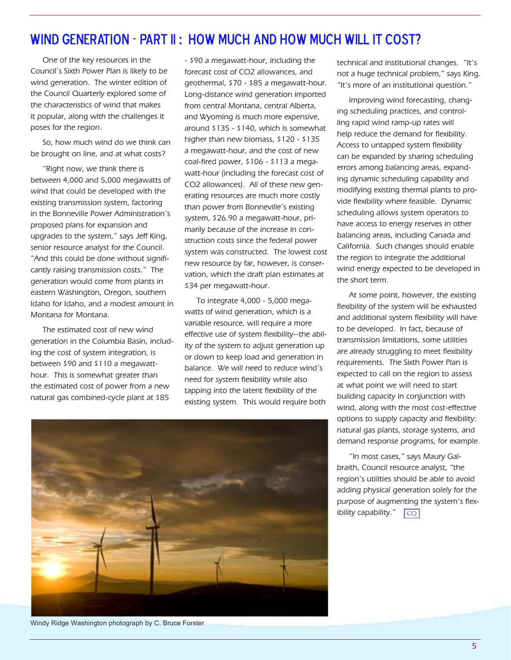### WIND GENERATION - PART II: HOW MUCH AND HOW MUCH WILL IT COST?

One of the key resources in the Council's Sixth Power Plan is likely to be wind generation. The winter edition of the Council Quarterly explored some of the characteristics of wind that makes it popular, along with the challenges it poses for the region.

So, how much wind do we think can be brought on line, and at what costs?

"Right now, we think there is between 4,000 and 5,000 megawatts of wind that could be developed with the existing transmission system, factoring in the Bonneville Power Administration's proposed plans for expansion and upgrades to the system," says Jeff King, senior resource analyst for the Council. "And this could be done without significantly raising transmission costs." The generation would come from plants in eastern Washington, Oregon, southern Idaho for Idaho, and a modest amount in Montana for Montana.

The estimated cost of new wind generation in the Columbia Basin, including the cost of system integration, is between \$90 and \$110 a megawatthour. This is somewhat greater than the estimated cost of power from a new natural gas combined-cycle plant at \$85

- \$90 a megawatt-hour, including the forecast cost of CO2 allowances, and geothermal, \$70 - \$85 a megawatt-hour. Long-distance wind generation imported from central Montana, central Alberta, and Wyoming is much more expensive, around \$135 - \$140, which is somewhat higher than new biomass, \$120 - \$135 a megawatt-hour, and the cost of new coal-fired power, \$106 - \$113 a megawatt-hour (including the forecast cost of CO2 allowances). All of these new generating resources are much more costly than power from Bonneville's existing system, \$26.90 a megawatt-hour, primarily because of the increase in construction costs since the federal power system was constructed. The lowest cost new resource by far, however, is conservation, which the draft plan estimates at \$34 per megawatt-hour.

To integrate 4,000 - 5,000 megawatts of wind generation, which is a variable resource, will require a more effective use of system flexibility--the ability of the system to adjust generation up or down to keep load and generation in balance. We will need to reduce wind's need for system flexibility while also tapping into the latent flexibility of the existing system. This would require both technical and institutional changes. "It's not a huge technical problem," says King. "It's more of an institutional question."

Improving wind forecasting, changing scheduling practices, and controlling rapid wind ramp-up rates will help reduce the demand for flexibility. Access to untapped system flexibility can be expanded by sharing scheduling errors among balancing areas, expanding dynamic scheduling capability and modifying existing thermal plants to provide flexibility where feasible. Dynamic scheduling allows system operators to have access to energy reserves in other balancing areas, including Canada and California. Such changes should enable the region to integrate the additional wind energy expected to be developed in the short term.

At some point, however, the existing flexibility of the system will be exhausted and additional system flexibility will have to be developed. In fact, because of transmission limitations, some utilities are already struggling to meet flexibility requirements. The Sixth Power Plan is expected to call on the region to assess at what point we will need to start building capacity in conjunction with wind, along with the most cost-effective options to supply capacity and flexibility: natural gas plants, storage systems, and demand response programs, for example.

 $|CO|$ "In most cases," says Maury Galbraith, Council resource analyst, "the region's utilities should be able to avoid adding physical generation solely for the purpose of augmenting the system's flexibility capability."



Windy Ridge Washington photograph by C. Bruce Forster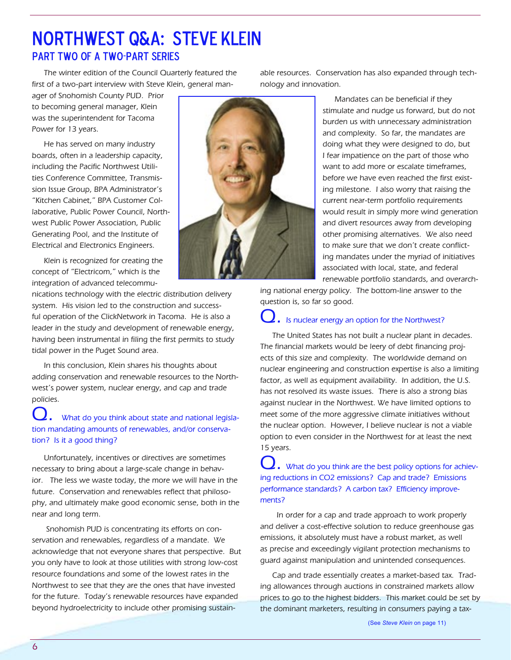## Northwest Q&A: Steve Klein Part two of a two-part series

The winter edition of the Council Quarterly featured the first of a two-part interview with Steve Klein, general man-

ager of Snohomish County PUD. Prior to becoming general manager, Klein was the superintendent for Tacoma Power for 13 years.

He has served on many industry boards, often in a leadership capacity, including the Pacific Northwest Utilities Conference Committee, Transmission Issue Group, BPA Administrator's "Kitchen Cabinet," BPA Customer Collaborative, Public Power Council, Northwest Public Power Association, Public Generating Pool, and the Institute of Electrical and Electronics Engineers.

Klein is recognized for creating the concept of "Electricom," which is the integration of advanced telecommu-

nications technology with the electric distribution delivery system. His vision led to the construction and successful operation of the ClickNetwork in Tacoma. He is also a leader in the study and development of renewable energy, having been instrumental in filing the first permits to study tidal power in the Puget Sound area.

In this conclusion, Klein shares his thoughts about adding conservation and renewable resources to the Northwest's power system, nuclear energy, and cap and trade policies.

### . What do you think about state and national legislation mandating amounts of renewables, and/or conservation? Is it a good thing?

Unfortunately, incentives or directives are sometimes necessary to bring about a large-scale change in behavior. The less we waste today, the more we will have in the future. Conservation and renewables reflect that philosophy, and ultimately make good economic sense, both in the near and long term.

 Snohomish PUD is concentrating its efforts on conservation and renewables, regardless of a mandate. We acknowledge that not everyone shares that perspective. But you only have to look at those utilities with strong low-cost resource foundations and some of the lowest rates in the Northwest to see that they are the ones that have invested for the future. Today's renewable resources have expanded beyond hydroelectricity to include other promising sustain-



able resources. Conservation has also expanded through technology and innovation.

> Mandates can be beneficial if they stimulate and nudge us forward, but do not burden us with unnecessary administration and complexity. So far, the mandates are doing what they were designed to do, but I fear impatience on the part of those who want to add more or escalate timeframes, before we have even reached the first existing milestone. I also worry that raising the current near-term portfolio requirements would result in simply more wind generation and divert resources away from developing other promising alternatives. We also need to make sure that we don't create conflicting mandates under the myriad of initiatives associated with local, state, and federal renewable portfolio standards, and overarch-

ing national energy policy. The bottom-line answer to the question is, so far so good.

### Is nuclear energy an option for the Northwest?

The United States has not built a nuclear plant in decades. The financial markets would be leery of debt financing projects of this size and complexity. The worldwide demand on nuclear engineering and construction expertise is also a limiting factor, as well as equipment availability. In addition, the U.S. has not resolved its waste issues. There is also a strong bias against nuclear in the Northwest. We have limited options to meet some of the more aggressive climate initiatives without the nuclear option. However, I believe nuclear is not a viable option to even consider in the Northwest for at least the next 15 years.

. What do you think are the best policy options for achieving reductions in CO2 emissions? Cap and trade? Emissions performance standards? A carbon tax? Efficiency improvements?

 In order for a cap and trade approach to work properly and deliver a cost-effective solution to reduce greenhouse gas emissions, it absolutely must have a robust market, as well as precise and exceedingly vigilant protection mechanisms to guard against manipulation and unintended consequences.

Cap and trade essentially creates a market-based tax. Trading allowances through auctions in constrained markets allow prices to go to the highest bidders. This market could be set by the dominant marketers, resulting in consumers paying a tax-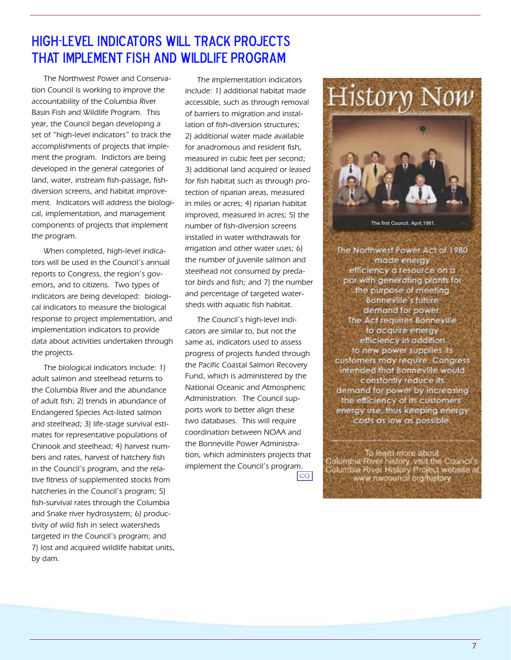### High-level indicators will track projects That implement fish and wildlife program

The Northwest Power and Conservation Council is working to improve the accountability of the Columbia River Basin Fish and Wildlife Program. This year, the Council began developing a set of "high-level indicators" to track the accomplishments of projects that implement the program. Indictors are being developed in the general categories of land, water, instream fish-passage, fishdiversion screens, and habitat improvement. Indicators will address the biological, implementation, and management components of projects that implement the program.

When completed, high-level indicators will be used in the Council's annual reports to Congress, the region's governors, and to citizens. Two types of indicators are being developed: biological indicators to measure the biological response to project implementation, and implementation indicators to provide data about activities undertaken through the projects.

The biological indicators include: 1) adult salmon and steelhead returns to the Columbia River and the abundance of adult fish; 2) trends in abundance of Endangered Species Act-listed salmon and steelhead; 3) life-stage survival estimates for representative populations of Chinook and steelhead; 4) harvest numbers and rates, harvest of hatchery fish in the Council's program, and the relative fitness of supplemented stocks from hatcheries in the Council's program; 5) fish-survival rates through the Columbia and Snake river hydrosystem; 6) productivity of wild fish in select watersheds targeted in the Council's program; and 7) lost and acquired wildlife habitat units, by dam.

The implementation indicators include: 1) additional habitat made accessible, such as through removal of barriers to migration and installation of fish-diversion structures; 2) additional water made available for anadromous and resident fish, measured in cubic feet per second; 3) additional land acquired or leased for fish habitat such as through protection of riparian areas, measured in miles or acres; 4) riparian habitat improved, measured in acres; 5) the number of fish-diversion screens installed in water withdrawals for irrigation and other water uses; 6) the number of juvenile salmon and steelhead not consumed by predator birds and fish; and 7) the number and percentage of targeted watersheds with aquatic fish habitat.

The Council's high-level indicators are similar to, but not the same as, indicators used to assess progress of projects funded through the Pacific Coastal Salmon Recovery Fund, which is administered by the National Oceanic and Atmospheric Administration. The Council supports work to better align these two databases. This will require coordination between NOAA and the Bonneville Power Administration, which administers projects that implement the Council's program.

 $|cQ|$ 



The first Council, April 1981.

The Northwest Power Act of 1980 mode energy efficiency a resource on a par with generating plants for the purpose of meeting Bonneville's future demand for power. The Act requires Bonneville to acquire energy efficiency in addition. to new power supplies its customers may require. Congress intended that Bonneville would constantly reduce its demand for power by increasing the efficiency of its customers' energy use, thus keeping energy costs as low as possible.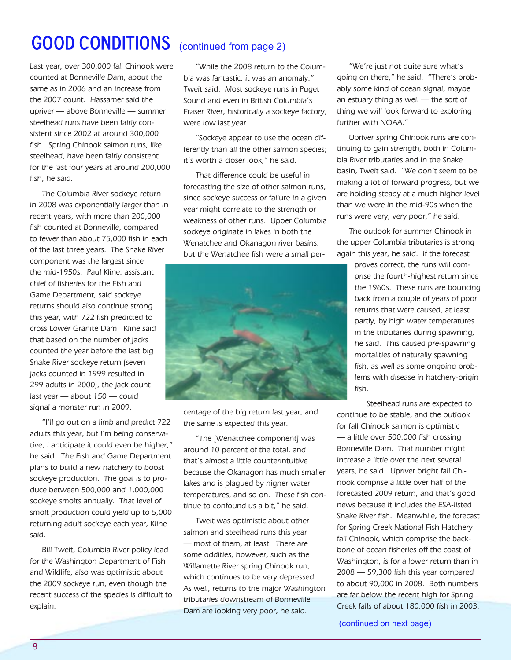# **GOOD CONDITIONS** (continued from page 2)

Last year, over 300,000 fall Chinook were counted at Bonneville Dam, about the same as in 2006 and an increase from the 2007 count. Hassamer said the upriver — above Bonneville — summer steelhead runs have been fairly consistent since 2002 at around 300,000 fish. Spring Chinook salmon runs, like steelhead, have been fairly consistent for the last four years at around 200,000 fish, he said.

The Columbia River sockeye return in 2008 was exponentially larger than in recent years, with more than 200,000 fish counted at Bonneville, compared to fewer than about 75,000 fish in each of the last three years. The Snake River component was the largest since the mid-1950s. Paul Kline, assistant chief of fisheries for the Fish and Game Department, said sockeye returns should also continue strong this year, with 722 fish predicted to cross Lower Granite Dam. Kline said that based on the number of jacks counted the year before the last big Snake River sockeye return (seven jacks counted in 1999 resulted in 299 adults in 2000), the jack count last year — about 150 — could signal a monster run in 2009.

"I'll go out on a limb and predict 722 adults this year, but I'm being conservative; I anticipate it could even be higher," he said. The Fish and Game Department plans to build a new hatchery to boost sockeye production. The goal is to produce between 500,000 and 1,000,000 sockeye smolts annually. That level of smolt production could yield up to 5,000 returning adult sockeye each year, Kline said.

Bill Tweit, Columbia River policy lead for the Washington Department of Fish and Wildlife, also was optimistic about the 2009 sockeye run, even though the recent success of the species is difficult to explain.

"While the 2008 return to the Columbia was fantastic, it was an anomaly," Tweit said. Most sockeye runs in Puget Sound and even in British Columbia's Fraser River, historically a sockeye factory, were low last year.

"Sockeye appear to use the ocean differently than all the other salmon species; it's worth a closer look," he said.

That difference could be useful in forecasting the size of other salmon runs, since sockeye success or failure in a given year might correlate to the strength or weakness of other runs. Upper Columbia sockeye originate in lakes in both the Wenatchee and Okanagon river basins, but the Wenatchee fish were a small per-



centage of the big return last year, and the same is expected this year.

"The [Wenatchee component] was around 10 percent of the total, and that's almost a little counterintuitive because the Okanagon has much smaller lakes and is plagued by higher water temperatures, and so on. These fish continue to confound us a bit," he said.

Tweit was optimistic about other salmon and steelhead runs this year — most of them, at least. There are some oddities, however, such as the Willamette River spring Chinook run, which continues to be very depressed. As well, returns to the major Washington tributaries downstream of Bonneville Dam are looking very poor, he said.

"We're just not quite sure what's going on there," he said. "There's probably some kind of ocean signal, maybe an estuary thing as well — the sort of thing we will look forward to exploring further with NOAA."

Upriver spring Chinook runs are continuing to gain strength, both in Columbia River tributaries and in the Snake basin, Tweit said. "We don't seem to be making a lot of forward progress, but we are holding steady at a much higher level than we were in the mid-90s when the runs were very, very poor," he said.

The outlook for summer Chinook in the upper Columbia tributaries is strong again this year, he said. If the forecast

> proves correct, the runs will comprise the fourth-highest return since the 1960s. These runs are bouncing back from a couple of years of poor returns that were caused, at least partly, by high water temperatures in the tributaries during spawning, he said. This caused pre-spawning mortalities of naturally spawning fish, as well as some ongoing problems with disease in hatchery-origin fish.

Steelhead runs are expected to continue to be stable, and the outlook for fall Chinook salmon is optimistic — a little over 500,000 fish crossing Bonneville Dam. That number might increase a little over the next several years, he said. Upriver bright fall Chinook comprise a little over half of the forecasted 2009 return, and that's good news because it includes the ESA-listed Snake River fish. Meanwhile, the forecast for Spring Creek National Fish Hatchery fall Chinook, which comprise the backbone of ocean fisheries off the coast of Washington, is for a lower return than in 2008 — 59,300 fish this year compared to about 90,000 in 2008. Both numbers are far below the recent high for Spring Creek falls of about 180,000 fish in 2003.

(continued on next page)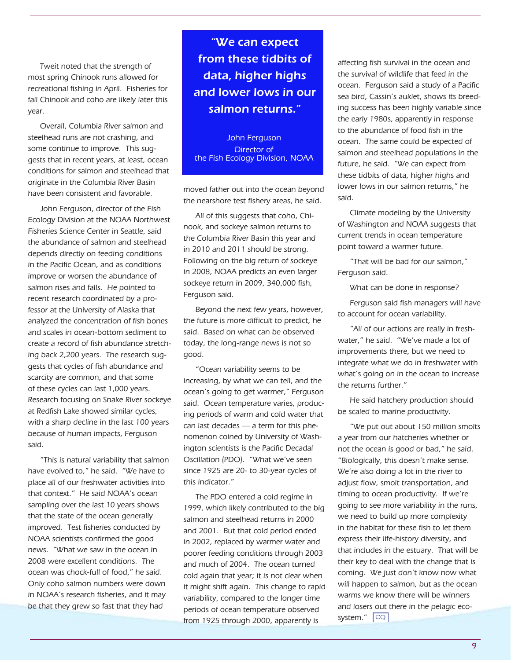Tweit noted that the strength of most spring Chinook runs allowed for recreational fishing in April. Fisheries for fall Chinook and coho are likely later this year.

Overall, Columbia River salmon and steelhead runs are not crashing, and some continue to improve. This suggests that in recent years, at least, ocean conditions for salmon and steelhead that originate in the Columbia River Basin have been consistent and favorable.

John Ferguson, director of the Fish Ecology Division at the NOAA Northwest Fisheries Science Center in Seattle, said the abundance of salmon and steelhead depends directly on feeding conditions in the Pacific Ocean, and as conditions improve or worsen the abundance of salmon rises and falls. He pointed to recent research coordinated by a professor at the University of Alaska that analyzed the concentration of fish bones and scales in ocean-bottom sediment to create a record of fish abundance stretching back 2,200 years. The research suggests that cycles of fish abundance and scarcity are common, and that some of these cycles can last 1,000 years. Research focusing on Snake River sockeye at Redfish Lake showed similar cycles, with a sharp decline in the last 100 years because of human impacts, Ferguson said.

"This is natural variability that salmon have evolved to," he said. "We have to place all of our freshwater activities into that context." He said NOAA's ocean sampling over the last 10 years shows that the state of the ocean generally improved. Test fisheries conducted by NOAA scientists confirmed the good news. "What we saw in the ocean in 2008 were excellent conditions. The ocean was chock-full of food," he said. Only coho salmon numbers were down in NOAA's research fisheries, and it may be that they grew so fast that they had

"We can expect from these tidbits of data, higher highs and lower lows in our salmon returns."

John Ferguson Director of the Fish Ecology Division, NOAA

moved father out into the ocean beyond the nearshore test fishery areas, he said.

All of this suggests that coho, Chinook, and sockeye salmon returns to the Columbia River Basin this year and in 2010 and 2011 should be strong. Following on the big return of sockeye in 2008, NOAA predicts an even larger sockeye return in 2009, 340,000 fish, Ferguson said.

Beyond the next few years, however, the future is more difficult to predict, he said. Based on what can be observed today, the long-range news is not so good.

"Ocean variability seems to be increasing, by what we can tell, and the ocean's going to get warmer," Ferguson said. Ocean temperature varies, producing periods of warm and cold water that can last decades — a term for this phenomenon coined by University of Washington scientists is the Pacific Decadal Oscillation (PDO). "What we've seen since 1925 are 20- to 30-year cycles of this indicator."

The PDO entered a cold regime in 1999, which likely contributed to the big salmon and steelhead returns in 2000 and 2001. But that cold period ended in 2002, replaced by warmer water and poorer feeding conditions through 2003 and much of 2004. The ocean turned cold again that year; it is not clear when it might shift again. This change to rapid variability, compared to the longer time periods of ocean temperature observed from 1925 through 2000, apparently is

affecting fish survival in the ocean and the survival of wildlife that feed in the ocean. Ferguson said a study of a Pacific sea bird, Cassin's auklet, shows its breeding success has been highly variable since the early 1980s, apparently in response to the abundance of food fish in the ocean. The same could be expected of salmon and steelhead populations in the future, he said. "We can expect from these tidbits of data, higher highs and lower lows in our salmon returns," he said.

Climate modeling by the University of Washington and NOAA suggests that current trends in ocean temperature point toward a warmer future.

"That will be bad for our salmon," Ferguson said.

What can be done in response?

Ferguson said fish managers will have to account for ocean variability.

"All of our actions are really in freshwater," he said. "We've made a lot of improvements there, but we need to integrate what we do in freshwater with what's going on in the ocean to increase the returns further."

He said hatchery production should be scaled to marine productivity.

"We put out about 150 million smolts a year from our hatcheries whether or not the ocean is good or bad," he said. "Biologically, this doesn't make sense. We're also doing a lot in the river to adjust flow, smolt transportation, and timing to ocean productivity. If we're going to see more variability in the runs, we need to build up more complexity in the habitat for these fish to let them express their life-history diversity, and that includes in the estuary. That will be their key to deal with the change that is coming. We just don't know now what will happen to salmon, but as the ocean warms we know there will be winners and losers out there in the pelagic ecosystem." <mark>| CQ</mark>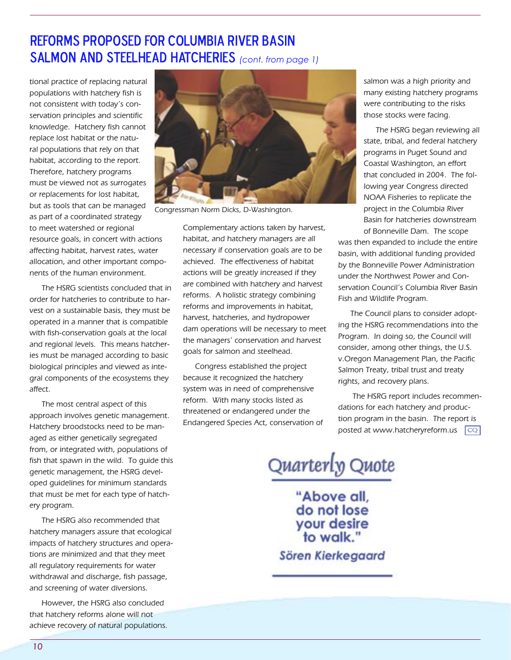### Reforms proposed for Columbia River Basin SALMON AND STEELHEAD HATCHERIES *(cont. from page 1)*

tional practice of replacing natural populations with hatchery fish is not consistent with today's conservation principles and scientific knowledge. Hatchery fish cannot replace lost habitat or the natural populations that rely on that habitat, according to the report. Therefore, hatchery programs must be viewed not as surrogates or replacements for lost habitat, but as tools that can be managed as part of a coordinated strategy to meet watershed or regional resource goals, in concert with actions affecting habitat, harvest rates, water allocation, and other important components of the human environment.

The HSRG scientists concluded that in order for hatcheries to contribute to harvest on a sustainable basis, they must be operated in a manner that is compatible with fish-conservation goals at the local and regional levels. This means hatcheries must be managed according to basic biological principles and viewed as integral components of the ecosystems they affect.

The most central aspect of this approach involves genetic management. Hatchery broodstocks need to be managed as either genetically segregated from, or integrated with, populations of fish that spawn in the wild. To guide this genetic management, the HSRG developed guidelines for minimum standards that must be met for each type of hatchery program.

The HSRG also recommended that hatchery managers assure that ecological impacts of hatchery structures and operations are minimized and that they meet all regulatory requirements for water withdrawal and discharge, fish passage, and screening of water diversions.

However, the HSRG also concluded that hatchery reforms alone will not achieve recovery of natural populations.



Congressman Norm Dicks, D-Washington.

Complementary actions taken by harvest, habitat, and hatchery managers are all necessary if conservation goals are to be achieved. The effectiveness of habitat actions will be greatly increased if they are combined with hatchery and harvest reforms. A holistic strategy combining reforms and improvements in habitat, harvest, hatcheries, and hydropower dam operations will be necessary to meet the managers' conservation and harvest goals for salmon and steelhead.

Congress established the project because it recognized the hatchery system was in need of comprehensive reform. With many stocks listed as threatened or endangered under the Endangered Species Act, conservation of salmon was a high priority and many existing hatchery programs were contributing to the risks those stocks were facing.

The HSRG began reviewing all state, tribal, and federal hatchery programs in Puget Sound and Coastal Washington, an effort that concluded in 2004. The following year Congress directed NOAA Fisheries to replicate the project in the Columbia River Basin for hatcheries downstream of Bonneville Dam. The scope

was then expanded to include the entire basin, with additional funding provided by the Bonneville Power Administration under the Northwest Power and Conservation Council's Columbia River Basin Fish and Wildlife Program.

The Council plans to consider adopting the HSRG recommendations into the Program. In doing so, the Council will consider, among other things, the U.S. v.Oregon Management Plan, the Pacific Salmon Treaty, tribal trust and treaty rights, and recovery plans.

 The HSRG report includes recommendations for each hatchery and production program in the basin. The report is posted at www.hatcheryreform.us  $\boxed{\mathbb{CQ}}$ 

Quarterly Quote

"Above all, do not lose your desire<br>to walk."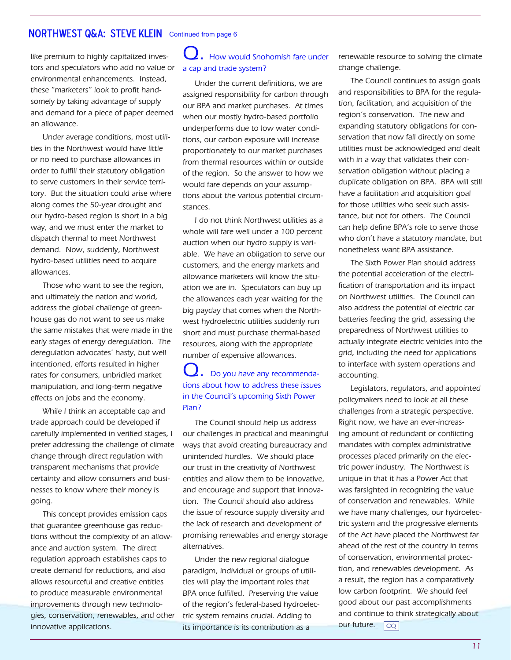### **NORTHWEST Q&A: STEVE KLEIN** Continued from page 6

like premium to highly capitalized investors and speculators who add no value or environmental enhancements. Instead, these "marketers" look to profit handsomely by taking advantage of supply and demand for a piece of paper deemed an allowance.

Under average conditions, most utilities in the Northwest would have little or no need to purchase allowances in order to fulfill their statutory obligation to serve customers in their service territory. But the situation could arise where along comes the 50-year drought and our hydro-based region is short in a big way, and we must enter the market to dispatch thermal to meet Northwest demand. Now, suddenly, Northwest hydro-based utilities need to acquire allowances.

Those who want to see the region, and ultimately the nation and world, address the global challenge of greenhouse gas do not want to see us make the same mistakes that were made in the early stages of energy deregulation. The deregulation advocates' hasty, but well intentioned, efforts resulted in higher rates for consumers, unbridled market manipulation, and long-term negative effects on jobs and the economy.

While I think an acceptable cap and trade approach could be developed if carefully implemented in verified stages, I prefer addressing the challenge of climate change through direct regulation with transparent mechanisms that provide certainty and allow consumers and businesses to know where their money is going.

This concept provides emission caps that guarantee greenhouse gas reductions without the complexity of an allowance and auction system. The direct regulation approach establishes caps to create demand for reductions, and also allows resourceful and creative entities to produce measurable environmental improvements through new technologies, conservation, renewables, and other innovative applications.

### $\mathcal{L}_{\bullet}$  How would Snohomish fare under a cap and trade system?

Under the current definitions, we are assigned responsibility for carbon through our BPA and market purchases. At times when our mostly hydro-based portfolio underperforms due to low water conditions, our carbon exposure will increase proportionately to our market purchases from thermal resources within or outside of the region. So the answer to how we would fare depends on your assumptions about the various potential circumstances.

I do not think Northwest utilities as a whole will fare well under a 100 percent auction when our hydro supply is variable. We have an obligation to serve our customers, and the energy markets and allowance marketers will know the situation we are in. Speculators can buy up the allowances each year waiting for the big payday that comes when the Northwest hydroelectric utilities suddenly run short and must purchase thermal-based resources, along with the appropriate number of expensive allowances.

Do you have any recommendations about how to address these issues in the Council's upcoming Sixth Power Plan?

The Council should help us address our challenges in practical and meaningful ways that avoid creating bureaucracy and unintended hurdles. We should place our trust in the creativity of Northwest entities and allow them to be innovative, and encourage and support that innovation. The Council should also address the issue of resource supply diversity and the lack of research and development of promising renewables and energy storage alternatives.

Under the new regional dialogue paradigm, individual or groups of utilities will play the important roles that BPA once fulfilled. Preserving the value of the region's federal-based hydroelectric system remains crucial. Adding to its importance is its contribution as a

renewable resource to solving the climate change challenge.

The Council continues to assign goals and responsibilities to BPA for the regulation, facilitation, and acquisition of the region's conservation. The new and expanding statutory obligations for conservation that now fall directly on some utilities must be acknowledged and dealt with in a way that validates their conservation obligation without placing a duplicate obligation on BPA. BPA will still have a facilitation and acquisition goal for those utilities who seek such assistance, but not for others. The Council can help define BPA's role to serve those who don't have a statutory mandate, but nonetheless want BPA assistance.

The Sixth Power Plan should address the potential acceleration of the electrification of transportation and its impact on Northwest utilities. The Council can also address the potential of electric car batteries feeding the grid, assessing the preparedness of Northwest utilities to actually integrate electric vehicles into the grid, including the need for applications to interface with system operations and accounting.

Legislators, regulators, and appointed policymakers need to look at all these challenges from a strategic perspective. Right now, we have an ever-increasing amount of redundant or conflicting mandates with complex administrative processes placed primarily on the electric power industry. The Northwest is unique in that it has a Power Act that was farsighted in recognizing the value of conservation and renewables. While we have many challenges, our hydroelectric system and the progressive elements of the Act have placed the Northwest far ahead of the rest of the country in terms of conservation, environmental protection, and renewables development. As a result, the region has a comparatively low carbon footprint. We should feel good about our past accomplishments and continue to think strategically about our future. co